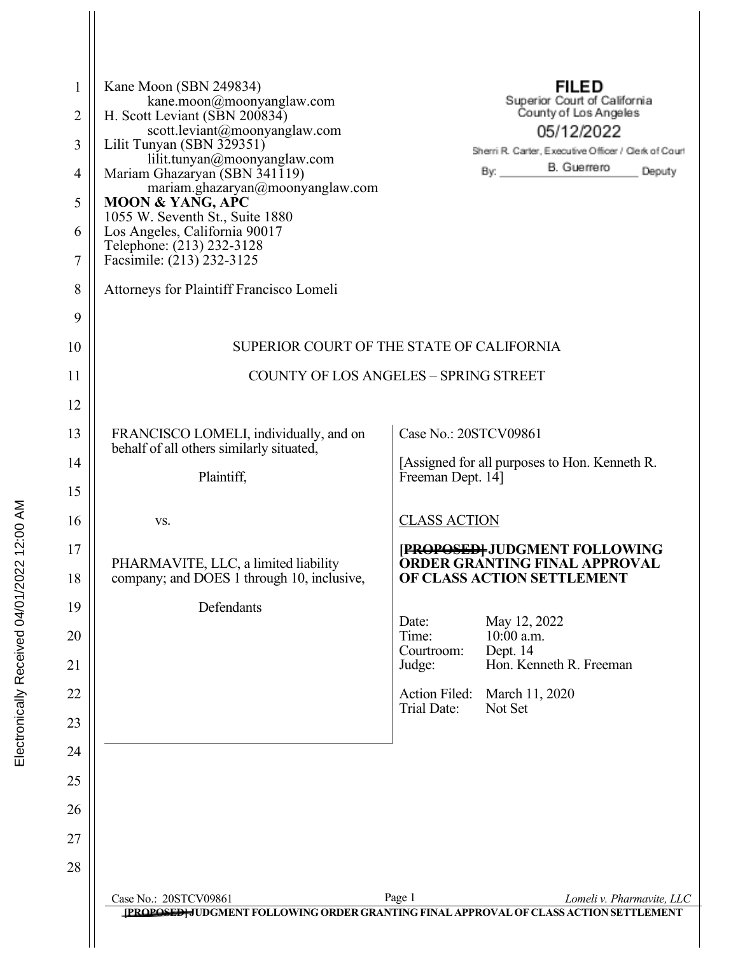| 1<br>2<br>3<br>4<br>5<br>6<br>7<br>8<br>9 | Kane Moon (SBN 249834)<br>kane.moon@moonyanglaw.com<br>H. Scott Leviant (SBN 200834)<br>scott.leviant@moonyanglaw.com<br>Lilit Tunyan (SBN 329351)<br>lilit.tunyan@moonyanglaw.com<br>Mariam Ghazaryan (SBN 341119)<br>mariam.ghazaryan@moonyanglaw.com<br><b>MOON &amp; YANG, APC</b><br>1055 W. Seventh St., Suite 1880<br>Los Angeles, California 90017<br>Telephone: (213) 232-3128<br>Facsimile: (213) 232-3125<br><b>Attorneys for Plaintiff Francisco Lomeli</b> |                                        | <b>FILED</b><br>Superior Court of California<br>County of Los Angeles<br>05/12/2022<br>Sherri R. Carter, Executive Officer / Clerk of Court<br>B. Guerrero<br>By:<br>Deputy |  |
|-------------------------------------------|-------------------------------------------------------------------------------------------------------------------------------------------------------------------------------------------------------------------------------------------------------------------------------------------------------------------------------------------------------------------------------------------------------------------------------------------------------------------------|----------------------------------------|-----------------------------------------------------------------------------------------------------------------------------------------------------------------------------|--|
| 10                                        | SUPERIOR COURT OF THE STATE OF CALIFORNIA                                                                                                                                                                                                                                                                                                                                                                                                                               |                                        |                                                                                                                                                                             |  |
| 11                                        | <b>COUNTY OF LOS ANGELES - SPRING STREET</b>                                                                                                                                                                                                                                                                                                                                                                                                                            |                                        |                                                                                                                                                                             |  |
| 12                                        |                                                                                                                                                                                                                                                                                                                                                                                                                                                                         |                                        |                                                                                                                                                                             |  |
| 13                                        | FRANCISCO LOMELI, individually, and on<br>behalf of all others similarly situated,                                                                                                                                                                                                                                                                                                                                                                                      | Case No.: 20STCV09861                  |                                                                                                                                                                             |  |
| 14                                        | Plaintiff,                                                                                                                                                                                                                                                                                                                                                                                                                                                              | Freeman Dept. 14]                      | [Assigned for all purposes to Hon. Kenneth R.                                                                                                                               |  |
| 15                                        |                                                                                                                                                                                                                                                                                                                                                                                                                                                                         |                                        |                                                                                                                                                                             |  |
| 16                                        | VS.                                                                                                                                                                                                                                                                                                                                                                                                                                                                     | <b>CLASS ACTION</b>                    |                                                                                                                                                                             |  |
| 17<br>18                                  | PHARMAVITE, LLC, a limited liability<br>company; and DOES 1 through 10, inclusive,                                                                                                                                                                                                                                                                                                                                                                                      |                                        | [PROPOSED] JUDGMENT FOLLOWING<br><b>ORDER GRANTING FINAL APPROVAL</b><br>OF CLASS ACTION SETTLEMENT                                                                         |  |
| 19                                        | Defendants                                                                                                                                                                                                                                                                                                                                                                                                                                                              |                                        |                                                                                                                                                                             |  |
| 20<br>21                                  |                                                                                                                                                                                                                                                                                                                                                                                                                                                                         | Date:<br>Time:<br>Courtroom:<br>Judge: | May 12, 2022<br>10:00 a.m.<br>Dept. 14<br>Hon. Kenneth R. Freeman                                                                                                           |  |
| 22                                        |                                                                                                                                                                                                                                                                                                                                                                                                                                                                         | Action Filed:                          | March 11, 2020                                                                                                                                                              |  |
| 23                                        |                                                                                                                                                                                                                                                                                                                                                                                                                                                                         | Trial Date:                            | Not Set                                                                                                                                                                     |  |
| 24                                        |                                                                                                                                                                                                                                                                                                                                                                                                                                                                         |                                        |                                                                                                                                                                             |  |
| 25                                        |                                                                                                                                                                                                                                                                                                                                                                                                                                                                         |                                        |                                                                                                                                                                             |  |
| 26                                        |                                                                                                                                                                                                                                                                                                                                                                                                                                                                         |                                        |                                                                                                                                                                             |  |
| 27                                        |                                                                                                                                                                                                                                                                                                                                                                                                                                                                         |                                        |                                                                                                                                                                             |  |
| 28                                        |                                                                                                                                                                                                                                                                                                                                                                                                                                                                         |                                        |                                                                                                                                                                             |  |
|                                           | Case No.: 20STCV09861                                                                                                                                                                                                                                                                                                                                                                                                                                                   | Page 1                                 | Lomeli v. Pharmavite, LLC                                                                                                                                                   |  |
|                                           | [PROPOSED] JUDGMENT FOLLOWING ORDER GRANTING FINAL APPROVAL OF CLASS ACTION SETTLEMENT                                                                                                                                                                                                                                                                                                                                                                                  |                                        |                                                                                                                                                                             |  |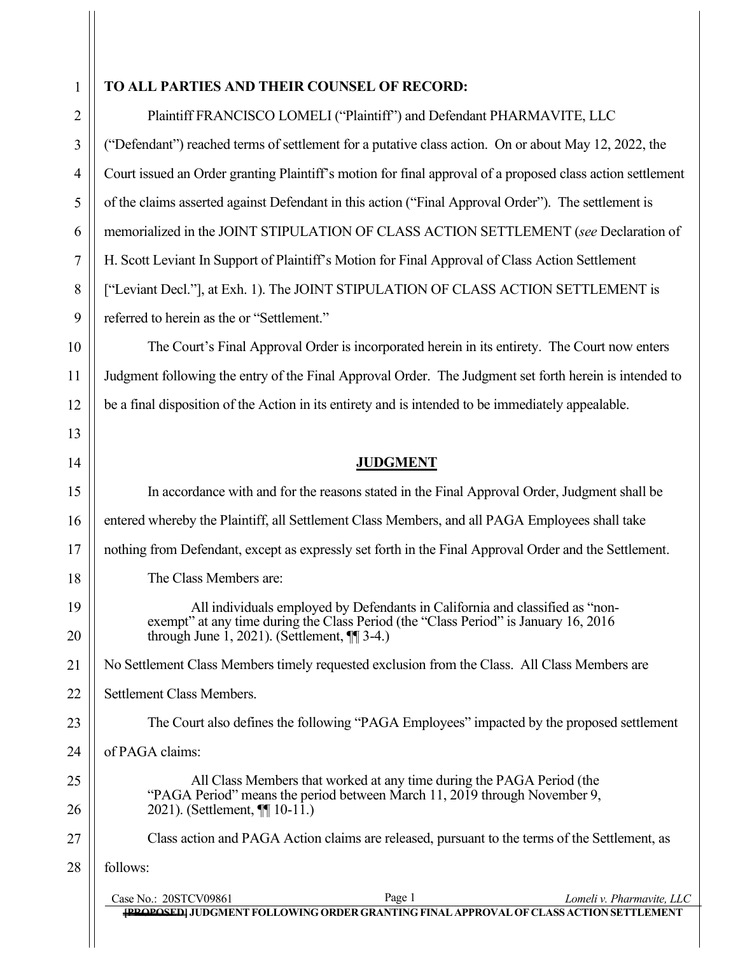## **TO ALL PARTIES AND THEIR COUNSEL OF RECORD:**

Plaintiff FRANCISCO LOMELI ("Plaintiff") and Defendant PHARMAVITE, LLC ("Defendant") reached terms of settlement for a putative class action. On or about May 12, 2022, the Court issued an Order granting Plaintiff's motion for final approval of a proposed class action settlement of the claims asserted against Defendant in this action ("Final Approval Order"). The settlement is memorialized in the JOINT STIPULATION OF CLASS ACTION SETTLEMENT (*see* Declaration of H. Scott Leviant In Support of Plaintiff's Motion for Final Approval of Class Action Settlement ["Leviant Decl."], at Exh. 1). The JOINT STIPULATION OF CLASS ACTION SETTLEMENT is referred to herein as the or "Settlement."

The Court's Final Approval Order is incorporated herein in its entirety. The Court now enters Judgment following the entry of the Final Approval Order. The Judgment set forth herein is intended to be a final disposition of the Action in its entirety and is intended to be immediately appealable.

## **JUDGMENT**

In accordance with and for the reasons stated in the Final Approval Order, Judgment shall be entered whereby the Plaintiff, all Settlement Class Members, and all PAGA Employees shall take nothing from Defendant, except as expressly set forth in the Final Approval Order and the Settlement. The Class Members are:

All individuals employed by Defendants in California and classified as "non-<br>exempt" at any time during the Class Period (the "Class Period" is January 16, 2016 through June  $\tilde{1}$ , 2021). (Settlement,  $\P$  $\tilde{3}$ -4.)

No Settlement Class Members timely requested exclusion from the Class. All Class Members are

Settlement Class Members.

The Court also defines the following "PAGA Employees" impacted by the proposed settlement

of PAGA claims:

All Class Members that worked at any time during the PAGA Period (the "PAGA Period" means the period between March 11, 2019 through November 9, 2021). (Settlement, ¶¶ 10-11.)

Class action and PAGA Action claims are released, pursuant to the terms of the Settlement, as

follows:

| Case No.: 20STCV09861 | Page 1 | Lomeli v. Pharmavite, LLC                                                                     |
|-----------------------|--------|-----------------------------------------------------------------------------------------------|
|                       |        | <b>[PROPOSED] JUDGMENT FOLLOWING ORDER GRANTING FINAL APPROVAL OF CLASS ACTION SETTLEMENT</b> |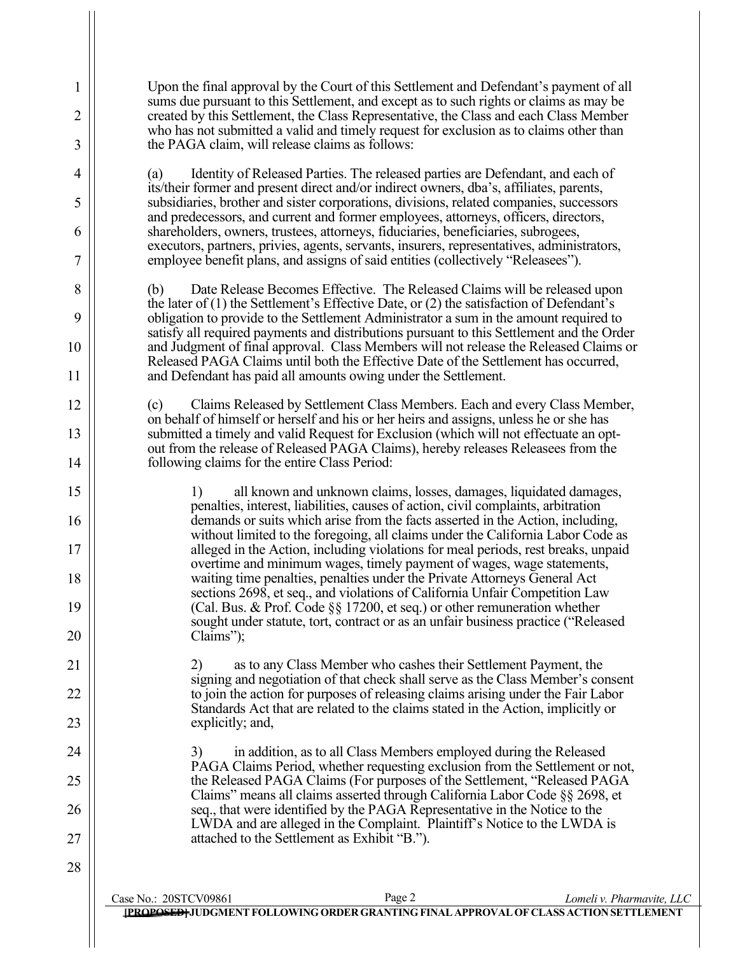Upon the final approval by the Court of this Settlement and Defendant's payment of all sums due pursuant to this Settlement, and except as to such rights or claims as may be created by this Settlement, the Class Representative, the Class and each Class Member who has not submitted a valid and timely request for exclusion as to claims other than the PAGA claim, will release claims as follows:

1

2

3

4

5

6

7

8

9

10

11

12

13

14

15

16

17

18

19

20

21

22

23

24

25

26

27

28

(a) Identity of Released Parties. The released parties are Defendant, and each of its/their former and present direct and/or indirect owners, dba's, affiliates, parents, subsidiaries, brother and sister corporations, divisions, related companies, successors and predecessors, and current and former employees, attorneys, officers, directors, shareholders, owners, trustees, attorneys, fiduciaries, beneficiaries, subrogees, executors, partners, privies, agents, servants, insurers, representatives, administrators, employee benefit plans, and assigns of said entities (collectively "Releasees").

(b) Date Release Becomes Effective. The Released Claims will be released upon the later of (1) the Settlement's Effective Date, or (2) the satisfaction of Defendant's obligation to provide to the Settlement Administrator a sum in the amount required to satisfy all required payments and distributions pursuant to this Settlement and the Order and Judgment of final approval. Class Members will not release the Released Claims or Released PAGA Claims until both the Effective Date of the Settlement has occurred, and Defendant has paid all amounts owing under the Settlement.

(c) Claims Released by Settlement Class Members. Each and every Class Member, on behalf of himself or herself and his or her heirs and assigns, unless he or she has submitted a timely and valid Request for Exclusion (which will not effectuate an optout from the release of Released PAGA Claims), hereby releases Releasees from the following claims for the entire Class Period:

1) all known and unknown claims, losses, damages, liquidated damages, penalties, interest, liabilities, causes of action, civil complaints, arbitration demands or suits which arise from the facts asserted in the Action, including, without limited to the foregoing, all claims under the California Labor Code as alleged in the Action, including violations for meal periods, rest breaks, unpaid overtime and minimum wages, timely payment of wages, wage statements, waiting time penalties, penalties under the Private Attorneys General Act sections 2698, et seq., and violations of California Unfair Competition Law (Cal. Bus. & Prof. Code §§ 17200, et seq.) or other remuneration whether sought under statute, tort, contract or as an unfair business practice ("Released Claims");

2) as to any Class Member who cashes their Settlement Payment, the signing and negotiation of that check shall serve as the Class Member's consent to join the action for purposes of releasing claims arising under the Fair Labor Standards Act that are related to the claims stated in the Action, implicitly or explicitly; and,

3) in addition, as to all Class Members employed during the Released PAGA Claims Period, whether requesting exclusion from the Settlement or not, the Released PAGA Claims (For purposes of the Settlement, "Released PAGA Claims" means all claims asserted through California Labor Code §§ 2698, et seq., that were identified by the PAGA Representative in the Notice to the LWDA and are alleged in the Complaint. Plaintiff's Notice to the LWDA is attached to the Settlement as Exhibit "B.").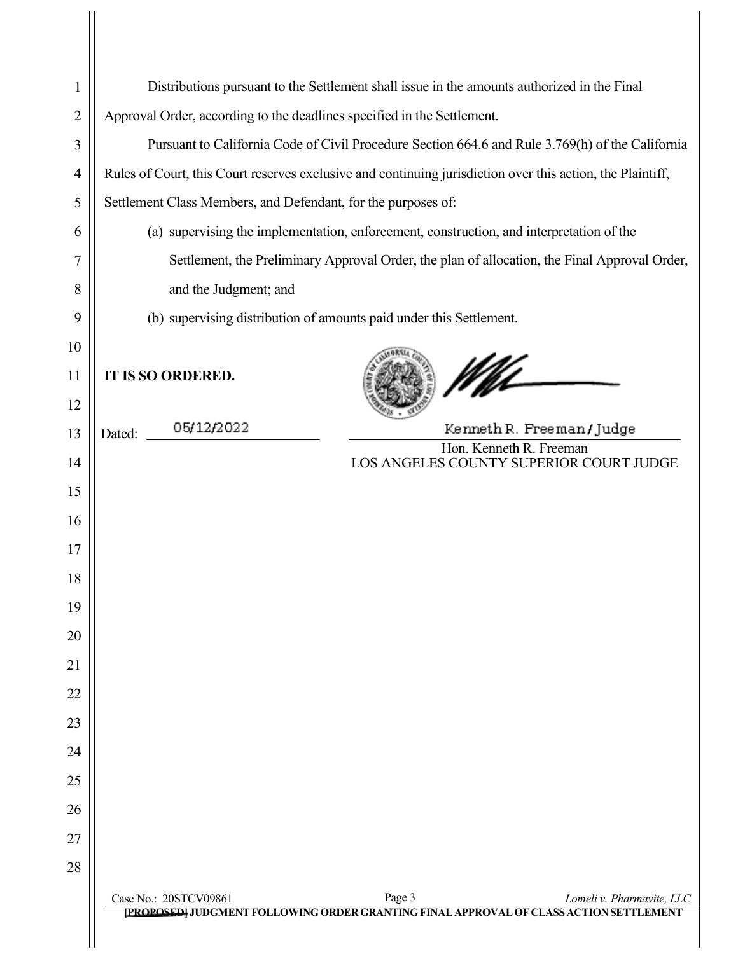| 1              |                                                                                                            | Distributions pursuant to the Settlement shall issue in the amounts authorized in the Final                                   |  |
|----------------|------------------------------------------------------------------------------------------------------------|-------------------------------------------------------------------------------------------------------------------------------|--|
| $\overline{2}$ | Approval Order, according to the deadlines specified in the Settlement.                                    |                                                                                                                               |  |
| 3              | Pursuant to California Code of Civil Procedure Section 664.6 and Rule 3.769(h) of the California           |                                                                                                                               |  |
| $\overline{4}$ | Rules of Court, this Court reserves exclusive and continuing jurisdiction over this action, the Plaintiff, |                                                                                                                               |  |
| 5              | Settlement Class Members, and Defendant, for the purposes of:                                              |                                                                                                                               |  |
| 6              | (a) supervising the implementation, enforcement, construction, and interpretation of the                   |                                                                                                                               |  |
| 7              | Settlement, the Preliminary Approval Order, the plan of allocation, the Final Approval Order,              |                                                                                                                               |  |
| 8              | and the Judgment; and                                                                                      |                                                                                                                               |  |
| 9              | (b) supervising distribution of amounts paid under this Settlement.                                        |                                                                                                                               |  |
| 10             |                                                                                                            |                                                                                                                               |  |
| 11<br>12       | <b>IT IS SO ORDERED.</b>                                                                                   | Nf                                                                                                                            |  |
| 13             | 05/12/2022<br>Dated:                                                                                       | Kenneth R. Freeman/Judge                                                                                                      |  |
| 14             |                                                                                                            | Hon. Kenneth R. Freeman<br>LOS ANGELES COUNTY SUPERIOR COURT JUDGE                                                            |  |
| 15             |                                                                                                            |                                                                                                                               |  |
| 16             |                                                                                                            |                                                                                                                               |  |
| 17             |                                                                                                            |                                                                                                                               |  |
| 18             |                                                                                                            |                                                                                                                               |  |
| 19             |                                                                                                            |                                                                                                                               |  |
| 20             |                                                                                                            |                                                                                                                               |  |
| 21             |                                                                                                            |                                                                                                                               |  |
| 22             |                                                                                                            |                                                                                                                               |  |
| 23             |                                                                                                            |                                                                                                                               |  |
| 24             |                                                                                                            |                                                                                                                               |  |
| 25             |                                                                                                            |                                                                                                                               |  |
| 26             |                                                                                                            |                                                                                                                               |  |
| 27             |                                                                                                            |                                                                                                                               |  |
| 28             |                                                                                                            |                                                                                                                               |  |
|                | Case No.: 20STCV09861                                                                                      | Page 3<br>Lomeli v. Pharmavite, LLC<br>[PROPOSED] JUDGMENT FOLLOWING ORDER GRANTING FINAL APPROVAL OF CLASS ACTION SETTLEMENT |  |
|                |                                                                                                            |                                                                                                                               |  |